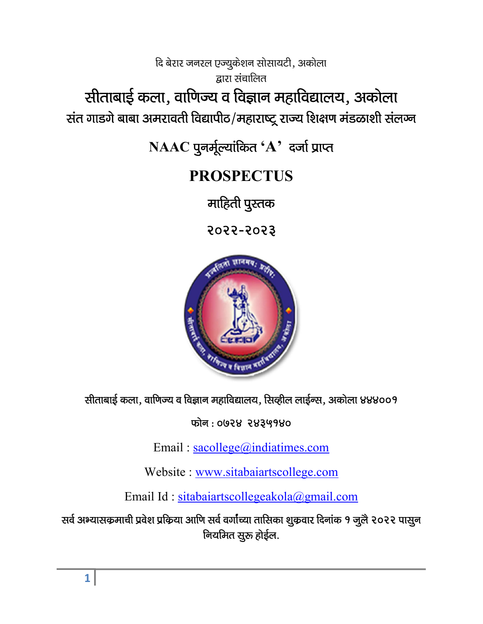दि बेरार जनरल एज्युकेशन सोसायटी, अकोला द्रारा संचालित सीताबाई कला, वाणिज्य व विज्ञान महाविद्यालय, अकोला संत गाडगे बाबा अमरावती विद्यापीठ/महाराष्ट्र राज्य शिक्षण मंडळाशी संल**ज्न** 

 $NAAC$  पुनर्मूल्यांकित ' $A$ ' दर्जा प्राप्त

# PROSPECTUS

माहिती पुस्तक

2022&2023



सीताबाई कला, वाणिज्य व विज्ञान महाविद्यालय, सिव्हील लाईन्स, अकोला ४४४००१

फोन: **0928 २४३५१४०** 

Email : sacollege@indiatimes.com

Website : www.sitabaiartscollege.com

Email Id : sitabaiartscollegeakola@gmail.com

सर्व अभ्यासकमाची प्रवेश प्रकिया आणि सर्व वर्गांच्या तासिका शुक्रवार दिनांक १ जुलै २०२२ पासुन नियमित सूरू होईल.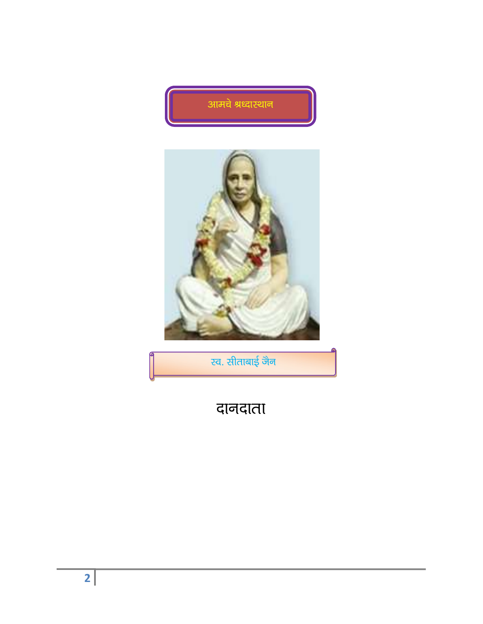



.<br><mark>रव. सीताबाई जैन</mark>

# दानदाता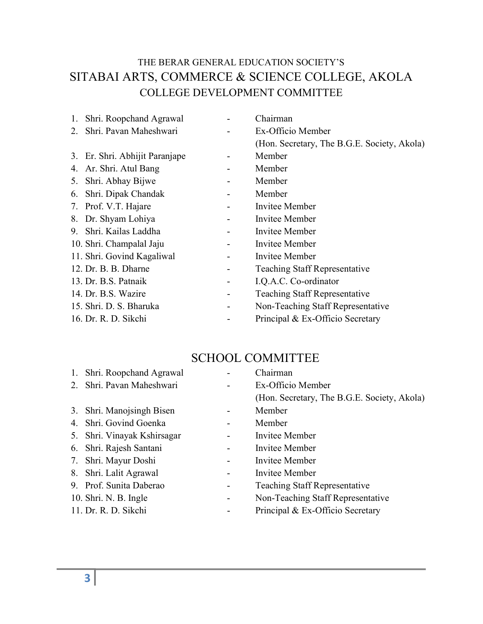# THE BERAR GENERAL EDUCATION SOCIETY'S SITABAI ARTS, COMMERCE & SCIENCE COLLEGE, AKOLA COLLEGE DEVELOPMENT COMMITTEE

| 1. Shri. Roopchand Agrawal     | Chairman                                    |
|--------------------------------|---------------------------------------------|
| 2. Shri. Pavan Maheshwari      | Ex-Officio Member                           |
|                                | (Hon. Secretary, The B.G.E. Society, Akola) |
| 3. Er. Shri. Abhijit Paranjape | Member                                      |
| 4. Ar. Shri. Atul Bang         | Member                                      |
| 5. Shri. Abhay Bijwe           | Member                                      |
| 6. Shri. Dipak Chandak         | Member                                      |
| 7. Prof. V.T. Hajare           | Invitee Member                              |
| 8. Dr. Shyam Lohiya            | Invitee Member                              |
| 9. Shri. Kailas Laddha         | <b>Invitee Member</b>                       |
| 10. Shri. Champalal Jaju       | Invitee Member                              |
| 11. Shri. Govind Kagaliwal     | Invitee Member                              |
| 12. Dr. B. B. Dharne           | <b>Teaching Staff Representative</b>        |
| 13. Dr. B.S. Patnaik           | I.Q.A.C. Co-ordinator                       |
| 14. Dr. B.S. Wazire            | <b>Teaching Staff Representative</b>        |
| 15. Shri. D. S. Bharuka        | Non-Teaching Staff Representative           |
| 16. Dr. R. D. Sikchi           | Principal & Ex-Officio Secretary            |

#### SCHOOL COMMITTEE

| 1. | Shri. Roopchand Agrawal     | Chairman                                    |
|----|-----------------------------|---------------------------------------------|
| 2. | Shri. Pavan Maheshwari      | Ex-Officio Member                           |
|    |                             | (Hon. Secretary, The B.G.E. Society, Akola) |
|    | 3. Shri. Manojsingh Bisen   | Member                                      |
|    | 4. Shri. Govind Goenka      | Member                                      |
|    | 5. Shri. Vinayak Kshirsagar | Invitee Member                              |
|    | 6. Shri. Rajesh Santani     | Invitee Member                              |
|    | 7. Shri. Mayur Doshi        | Invitee Member                              |
| 8. | Shri. Lalit Agrawal         | Invitee Member                              |
|    | 9. Prof. Sunita Daberao     | <b>Teaching Staff Representative</b>        |
|    | 10. Shri. N. B. Ingle       | Non-Teaching Staff Representative           |
|    |                             |                                             |

11. Dr. R. D. Sikchi - Principal & Ex-Officio Secretary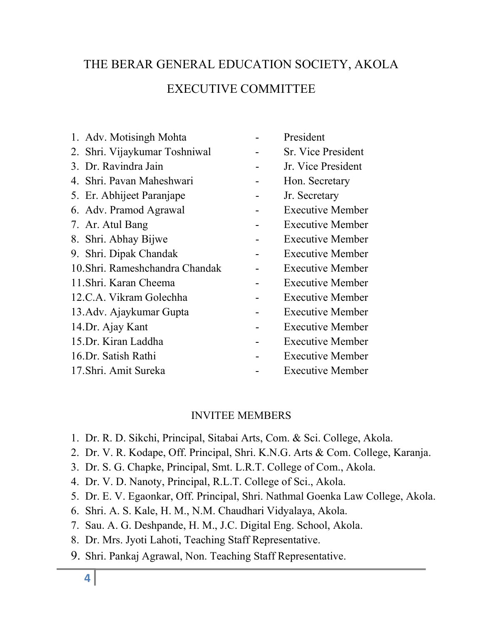# THE BERAR GENERAL EDUCATION SOCIETY, AKOLA EXECUTIVE COMMITTEE

- 1. Adv. Motisingh Mohta **-** President 2. Shri. Vijaykumar Toshniwal - Sr. Vice President 3. Dr. Ravindra Jain - Jr. Vice President 4. Shri. Pavan Maheshwari - Hon. Secretary 5. Er. Abhijeet Paranjape - Jr. Secretary 6. Adv. Pramod Agrawal - Executive Member 7. Ar. Atul Bang The Contract Contract Area Executive Member 8. Shri. Abhay Bijwe - Executive Member 9. Shri. Dipak Chandak - Executive Member 10.Shri. Rameshchandra Chandak - Executive Member 11.Shri. Karan Cheema - Executive Member 12.C.A. Vikram Golechha - Executive Member 13.Adv. Ajaykumar Gupta - Executive Member 14.Dr. Ajay Kant Fxecutive Member 15.Dr. Kiran Laddha - Executive Member 16.Dr. Satish Rathi - Executive Member 17.Shri. Amit Sureka - Executive Member
- -
	-
	-
	-
	-
	-
	-
	-
	-
	-
	-
	-
	-
	-
	-
	-

#### INVITEE MEMBERS

- 1. Dr. R. D. Sikchi, Principal, Sitabai Arts, Com. & Sci. College, Akola.
- 2. Dr. V. R. Kodape, Off. Principal, Shri. K.N.G. Arts & Com. College, Karanja.
- 3. Dr. S. G. Chapke, Principal, Smt. L.R.T. College of Com., Akola.
- 4. Dr. V. D. Nanoty, Principal, R.L.T. College of Sci., Akola.
- 5. Dr. E. V. Egaonkar, Off. Principal, Shri. Nathmal Goenka Law College, Akola.
- 6. Shri. A. S. Kale, H. M., N.M. Chaudhari Vidyalaya, Akola.
- 7. Sau. A. G. Deshpande, H. M., J.C. Digital Eng. School, Akola.
- 8. Dr. Mrs. Jyoti Lahoti, Teaching Staff Representative.
- 9. Shri. Pankaj Agrawal, Non. Teaching Staff Representative.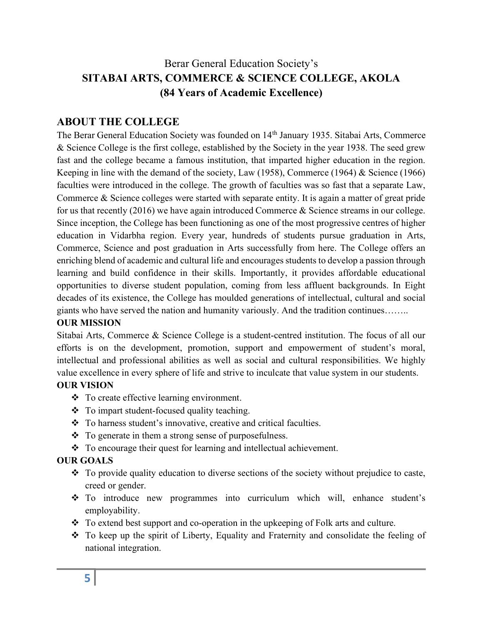## Berar General Education Society's SITABAI ARTS, COMMERCE & SCIENCE COLLEGE, AKOLA (84 Years of Academic Excellence)

#### ABOUT THE COLLEGE

The Berar General Education Society was founded on 14<sup>th</sup> January 1935. Sitabai Arts, Commerce & Science College is the first college, established by the Society in the year 1938. The seed grew fast and the college became a famous institution, that imparted higher education in the region. Keeping in line with the demand of the society, Law (1958), Commerce (1964) & Science (1966) faculties were introduced in the college. The growth of faculties was so fast that a separate Law, Commerce & Science colleges were started with separate entity. It is again a matter of great pride for us that recently (2016) we have again introduced Commerce & Science streams in our college. Since inception, the College has been functioning as one of the most progressive centres of higher education in Vidarbha region. Every year, hundreds of students pursue graduation in Arts, Commerce, Science and post graduation in Arts successfully from here. The College offers an enriching blend of academic and cultural life and encourages students to develop a passion through learning and build confidence in their skills. Importantly, it provides affordable educational opportunities to diverse student population, coming from less affluent backgrounds. In Eight decades of its existence, the College has moulded generations of intellectual, cultural and social giants who have served the nation and humanity variously. And the tradition continues……..

#### OUR MISSION

Sitabai Arts, Commerce & Science College is a student-centred institution. The focus of all our efforts is on the development, promotion, support and empowerment of student's moral, intellectual and professional abilities as well as social and cultural responsibilities. We highly value excellence in every sphere of life and strive to inculcate that value system in our students.

#### OUR VISION

- To create effective learning environment.
- To impart student-focused quality teaching.
- To harness student's innovative, creative and critical faculties.
- To generate in them a strong sense of purposefulness.
- \* To encourage their quest for learning and intellectual achievement.

#### OUR GOALS

- \* To provide quality education to diverse sections of the society without prejudice to caste, creed or gender.
- To introduce new programmes into curriculum which will, enhance student's employability.
- To extend best support and co-operation in the upkeeping of Folk arts and culture.
- To keep up the spirit of Liberty, Equality and Fraternity and consolidate the feeling of national integration.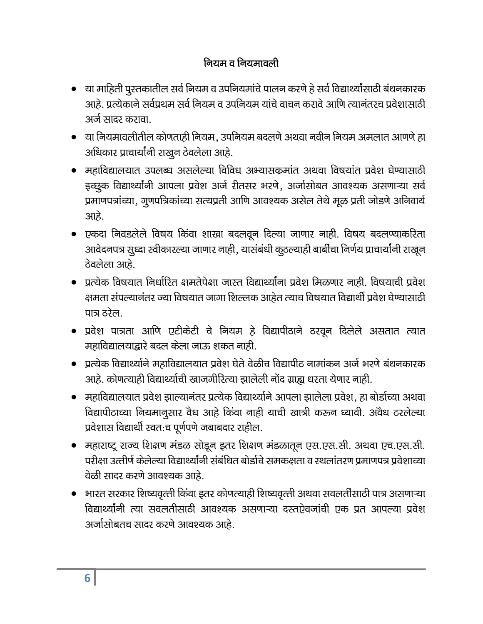# नियम व नियमावली

- ्या माहिती पुस्तकातील सर्व नियम व उपनियमांचे पालन करणे हे सर्व विद्यार्थ्यांसाठी बंधनकारक आहे. प्रत्येकाने सर्वप्रथम सर्व नियम व उपनियम यांचे वाचन करावे आणि त्यानंतरच प्रवेशासाठी अर्ज सादर कराता
- या नियमावलीतील कोणताही नियम, उपनियम बदलणे अथवा नवीन नियम अमलात आणणे हा अधिकार प्राचार्यांनी राखून ठेवलेला आहे.
- महाविद्यालयात उपलब्ध असलेल्या विविध अभ्यासकमांत अथवा विषयांत प्रवेश घेण्यासाठी इच्छूक विद्यार्थ्यांनी आपला प्रवेश अर्ज रीतसर भरणे, अर्जासोबत आवश्यक असणाऱ्या सर्व प्रमाणपत्रांच्या, गूणपत्रिकांच्या सत्यप्रती आणि आवश्यक असेल तेथे मूळ प्रती जोडणे अनिवार्य आहे.
- एकदा निवडलेले विषय किंवा शाखा बदलवून दिल्या जाणार नाही. विषय बदलण्याकरिता आवेदनपत्र सुध्दा स्वीकारल्या जाणार नाही, यासंबंधी कुठल्याही बार्बीचा निर्णय प्राचार्यांनी राखून ठेवलेला आहे.
- प्रत्येक विषयात निर्धारित क्षमतेपेक्षा जास्त विद्यार्थ्यांना प्रवेश मिळणार नाही. विषयाची प्रवेश क्षमता संपल्यानंतर ज्या विषयात जागा शिल्लक आहेत त्याच विषयात विद्यार्थी प्रवेश घेण्यासाठी पात्र ठरेल.
- प्रवेश पात्रता आणि एटीकेटी चे नियम हे विद्यापीठाने ठरवून दिलेले असतात त्यात महाविद्यालयाद्वारे बदल केला जाऊ शकत नाही.
- प्रत्येक विद्यार्थ्याने महाविद्यालयात प्रवेश घेते वेळीच विद्यापीठ नामांकन अर्ज भरणे बंधनकारक आहे. कोणत्याही विद्यार्थ्याची खाजगीरित्या झालेली नोंद ग्राह्य धरता येणार नाही.
- महाविद्यालयात प्रवेश झाल्यानंतर प्रत्येक विद्यार्थ्याने आपला झालेला प्रवेश, हा बोर्डाच्या अथवा विद्यापीठाच्या नियमानूसार वेध आहे किंवा नाही याची खात्री करून घ्यावी. अवैध ठरलेल्या प्रवेशास विद्यार्थी स्वत:च पूर्णपणे जबाबदार राहील.
- महाराष्ट्र राज्य शिक्षण मंडळ सोडून इतर शिक्षण मंडळातून एस.एस.सी. अथवा एच.एस.सी. परीक्षा उत्तीर्ण केलेल्या विद्यार्थ्यांनी संबंधित बोर्डाचे समकक्षता व स्थलांतरण प्रमाणपत्र प्रवेशाच्या वेळी सादर करणे आवश्यक आहे.
- भारत सरकार शिष्यवृत्ती किंवा इतर कोणत्याही शिष्यवृत्ती अथवा सवलतींसाठी पात्र असणाऱ्या विद्यार्थ्यांनी त्या सवलतीसाठी आवश्यक असणाऱ्या दस्तऐवजांची एक प्रत आपल्या प्रवेश अर्जासोबतच सादर करणे आवश्यक आहे.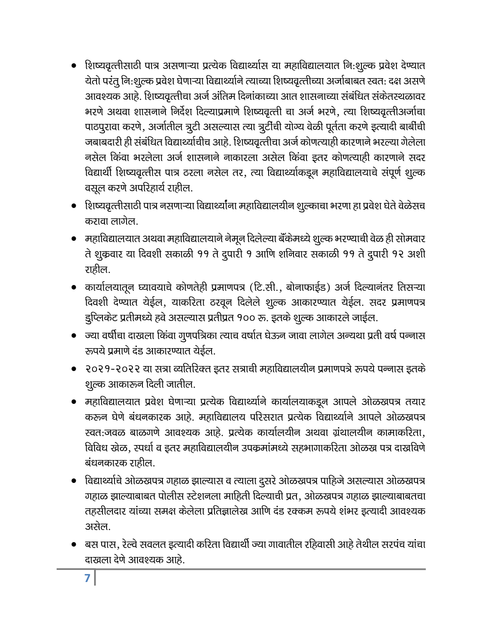- शिष्यवृत्तीसाठी पात्र असणाऱ्या प्रत्येक विद्यार्थ्यास या महाविद्यालयात नि:शूल्क प्रवेश देण्यात येतो परंतु नि:शुल्क प्रवेश घेणाऱ्या विद्यार्थ्याने त्याच्या शिष्यवृत्तीच्या अर्जाबाबत स्वत: दक्ष असणे आवश्यक आहे. शिष्यवृत्तीचा अर्ज अंतिम दिनांकाच्या आत शासनाच्या संबंधित संकेतस्थळावर भरणे अथवा शासनाने निर्देश दिल्याप्रमाणे शिष्यवृत्ती चा अर्ज भरणे, त्या शिष्यवृत्तीअर्जाचा पाठपुरावा करणे, अर्जातील त्रूटी असल्यास त्या त्रूटींची योग्य वेळी पूर्तता करणे इत्यादी बार्बीची जबाबदारी ही संबंधित विद्यार्थ्याचीच आहे. शिष्यवृत्तीचा अर्ज कोणत्याही कारणाने भरल्या गेलेला नसेल किंवा भरलेला अर्ज शासनाने नाकारला असेल किंवा इतर कोणत्याही कारणाने सदर विद्यार्थी शिष्यवृत्तीस पात्र ठरला नसेल तर, त्या विद्यार्थ्याकडून महाविद्यालयाचे संपूर्ण शुल्क वसूल करणे अपरिहार्य राहील.
- शिष्यवृत्तीसाठी पात्र नसणाऱ्या विद्यार्थ्यांना महाविद्यालयीन शूल्काचा भरणा हा प्रवेश घेते वेळेसच करावा लागेल.
- महाविद्यालयात अथवा महाविद्यालयाने नेमून दिलेल्या बॅंकेमध्ये शुल्क भरण्याची वेळ ही सोमवार ते शुक्रवार या दिवशी सकाळी ११ ते दुपारी १ आणि शनिवार सकाळी ११ ते दुपारी १२ अशी राहील.
- कार्यालयातून घ्यावयाचे कोणतेही प्रमाणपत्र (टि.सी., बोनाफाईड) अर्ज दिल्यानंतर तिसऱ्या दिवशी देण्यात येईल, याकरिता ठरवून दिलेले शूल्क आकारण्यात येईल. सदर प्रमाणपत्र डुप्लिकेट प्रतीमध्ये हवे असल्यास प्रतीप्रत १०० रू. इतके शुल्क आकारले जाईल.
- ज्या वर्षीचा दाखला किंवा गूणपत्रिका त्याच वर्षात घेऊन जावा लागेल अन्यथा प्रती वर्ष पन्नास रूपये प्रमाणे दंड आकारण्यात येईल.
- २०२१-२०२२ या सत्रा व्यतिरिक्त इतर सत्राची महाविद्यालयीन प्रमाणपत्रे रूपये पन्नास इतके शुल्क आकारून दिली जातील.
- महाविद्यालयात प्रवेश घेणाऱ्या प्रत्येक विद्यार्थ्याने कार्यालयाकडून आपले ओळखपत्र तयार करून घेणे बंधनकारक आहे. महाविद्यालय परिसरात प्रत्येक विद्यार्थ्याने आपले ओळखपत्र खत:जवळ बाळगणे आवश्यक आहे. प्रत्येक कार्यालयीन अथवा ग्रंथालयीन कामाकरिता, विविध खेळ, स्पर्धा व इतर महाविद्यालयीन उपकर्मांमध्ये सहभागाकरिता ओळख पत्र दाखविणे बंधनकारक राहील.
- विद्यार्थ्याचे ओळखपत्र गहाळ झाल्यास व त्याला दुसरे ओळखपत्र पाहिजे असल्यास ओळखपत्र गहाळ झाल्याबाबत पोलीस स्टेशनला माहिती दिल्याची प्रत, ओळखपत्र गहाळ झाल्याबाबतचा तहसीलदार यांच्या समक्ष केलेला प्रतिज्ञालेख आणि दंड रक्कम रूपये शंभर इत्यादी आवश्यक असेल
- बस पास, रेल्वे सवलत इत्यादी करिता विद्यार्थी ज्या गावातील रहिवासी आहे तेथील सरपंच यांचा दाखला देणे आवश्यक आहे.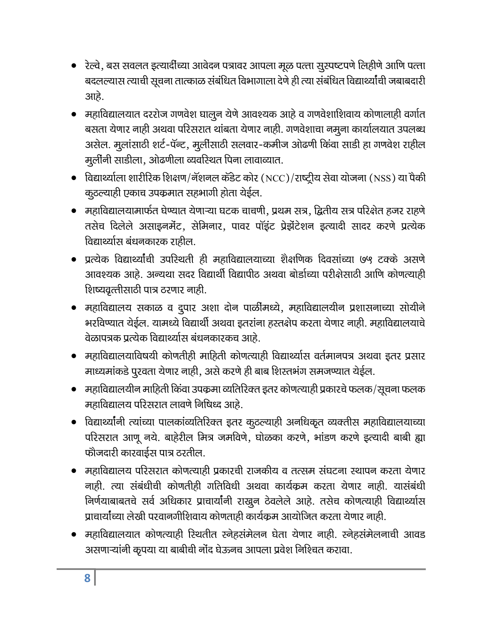- रेल्वे, बस सवलत इत्यार्दीच्या आवेदन पत्रावर आपला मूळ पत्ता सुस्पष्टपणे लिहीणे आणि पत्ता बदलल्यास त्याची सूचना तात्काळ संबंधित विभागाला देणे ही त्या संबंधित विद्यार्थ्यांची जबाबदारी आहे.
- महाविद्यालयात दररोज गणवेश घालून येणे आवश्यक आहे व गणवेशाशिवाय कोणालाही वर्गात बसता येणार नाही अथवा परिसरात थांबता येणार नाही. गणवेशाचा नमूना कार्यालयात उपलब्ध असेल. मूलांसाठी शर्ट-पॅन्ट, मूर्लीसाठी सलवार-कमीज ओढणी किंवा साडी हा गणवेश राहील मूर्लीनी साडीला, ओढणीला व्यवरिथत पिना लावाव्यात.
- विद्यार्थ्याला शारीरिक शिक्षण/नॅशनल कॅडेट कोर (NCC)/राष्ट्रीय सेवा योजना (NSS) या पैकी कुठल्याही एकाच उपक्रमात सहभागी होता येईल.
- महाविद्यालयामार्फत घेण्यात येणाऱ्या घटक चाचणी, प्रथम सत्र, द्वितीय सत्र परिक्षेत हजर राहणे तसेच दिलेले असाइनमेंट, सेमिनार, पावर पॉइंट प्रेझेंटेशन इत्यादी सादर करणे प्रत्येक विद्यार्थ्यास बंधनकारक राहील.
- प्रत्येक विद्यार्थ्यांची उपरिथती ही महाविद्यालयाच्या शैक्षणिक दिवसांच्या ७५ टक्के असणे आवश्यक आहे. अन्यथा सदर विद्यार्थी विद्यापीठ अथवा बोर्डाच्या परीक्षेसाठी आणि कोणत्याही शिष्यवृत्तीसाठी पात्र ठरणार नाही.
- महाविद्यालय सकाळ व द्र्पार अशा दोन पाळींमध्ये, महाविद्यालयीन प्रशासनाच्या सोयीने भरविण्यात येईल. यामध्ये विद्यार्थी अथवा इतरांना हस्तक्षेप करता येणार नाही. महाविद्यालयाचे वेळापत्रक प्रत्येक विद्यार्थ्यास बंधनकारकच आहे.
- महाविद्यालयाविषयी कोणतीही माहिती कोणत्याही विद्यार्थ्यास वर्तमानपत्र अथवा इतर प्रसार माध्यमांकडे पुरवता येणार नाही, असे करणे ही बाब शिस्तभंग समजण्यात येईल.
- महाविद्यालयीन माहिती किंवा उपक्रमा व्यतिरिक्त इतर कोणत्याही प्रकारचे फलक/सूचना फलक महाविद्यालय परिसरात लावणे निषिध्द आहे.
- विद्यार्थ्यांनी त्यांच्या पालकांव्यतिरिक्त इतर कुठल्याही अनधिकृत व्यक्तीस महाविद्यालयाच्या परिसरात आणू नये. बाहेरील मित्र जमविणे, घोळका करणे, भांडण करणे इत्यादी बाबी ह्या फोजदारी कारवाईस पात्र ठरतील.
- महाविद्यालय परिसरात कोणत्याही प्रकारची राजकीय व तत्सम संघटना स्थापन करता येणार नाही. त्या संबंधीची कोणतीही गतिविधी अथवा कार्यक्रम करता येणार नाही. यासंबंधी निर्णयाबाबतचे सर्व अधिकार प्राचार्यांनी राखून ठेवलेले आहे. तसेच कोणत्याही विद्यार्थ्यास प्राचार्यांच्या लेखी परवानगीशिवाय कोणताही कार्यक्रम आयोजित करता येणार नाही.
- महाविद्यालयात कोणत्याही रिथतीत स्नेहसंमेलन घेता येणार नाही. स्नेहसंमेलनाची आवड असणाऱ्यांनी कृपया या बाबीची नोंद घेऊनच आपला प्रवेश निश्चित करावा.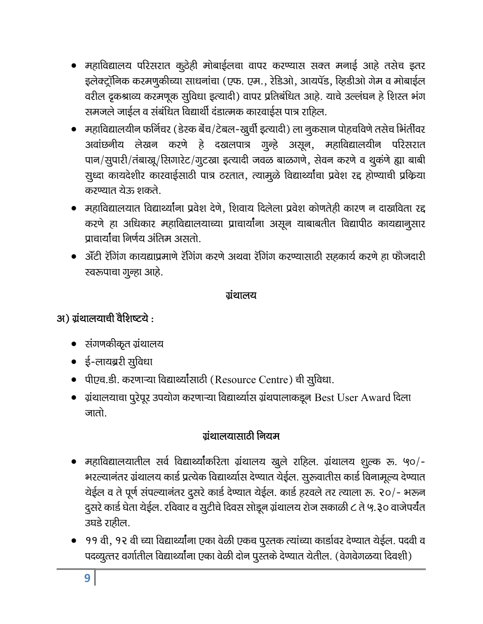- महाविद्यालय परिसरात कूठेही मोबाईलचा वापर करण्यास सक्त मनाई आहे तसेच इतर इलेक्ट्रॉनिक करमणुकीच्या साधनांचा (एफ. एम., रेडिओ, आयपॅड, व्हिडीओ गेम व मोबाईल वरील द्रकश्राव्य करमणूक सुविधा इत्यादी) वापर प्रतिबंधित आहे. याचे उल्लंघन हे शिस्त भंग समजले जाईल व संबंधित विद्यार्थी दंडात्मक कारवाईस पात्र राहिल.
- महाविद्यालयीन फर्निचर (डेस्क बेंच/टेबल-खूर्ची इत्यादी) ला नूकसान पोहचविणे तसेच भिंतींवर अवांछनीय लेखन करणे हे दखलपात्र गुन्हे असून, महाविद्यालयीन परिसरात पान/सूपारी/तंबाख्र/सिगारेट/गूटखा इत्यादी जवळ बाळगणे, सेवन करणे व थूकंणे ह्या बाबी सुध्दा कायदेशीर कारवाईसाठी पात्र ठरतात, त्यामुळे विद्यार्थ्यांचा प्रवेश रद्द होण्याची प्रक्रिया करण्यात रोऊ शकते.
- महाविद्यालयात विद्यार्थ्यांना प्रवेश देणे, शिवाय दिलेला प्रवेश कोणतेही कारण न दाखविता रद्द करणे हा अधिकार महाविद्यालयाच्या प्राचार्यांना असून याबाबतीत विद्यापीठ कायद्यानुसार पाचार्यांचा निर्णय अंतिम असतो.
- ॲंटी रॅगिंग कायद्याप्रमाणे रॅगिंग करणे अथवा रॅगिंग करण्यासाठी सहकार्य करणे हा फौजदारी स्वरूपाचा गुन्हा आहे.

### ग्रंथालय

# अ) ग्रंथालयाची वैशिष्टये:

- संगणकीकृत ग्रंथालय
- ई-लायब्ररी सुविधा
- पीएच.डी. करणाऱ्या विद्यार्थ्यांसाठी (Resource Centre) ची सुविधा.
- $\bullet$  ग्रंथालयाचा पूरेपूर उपयोग करणाऱ्या विद्यार्थ्यास ग्रंथपालाकडून Best User Award दिला जातो.

# ग्रंथालयासाठी नियम

- महाविद्यालयातील सर्व विद्यार्थ्यांकरिता ग्रंथालय खुले राहिल. ग्रंथालय शुल्क रू. ५०/-भरल्यानंतर ग्रंथालय कार्ड प्रत्येक विद्यार्थ्यास देण्यात येईल. सुरूवातीस कार्ड विनामूल्य देण्यात येईल व ते पूर्ण संपल्यानंतर दुसरे कार्ड देण्यात येईल. कार्ड हरवले तर त्याला रू. २०/- भरून दूसरे कार्ड घेता येईल. रविवार व सूटीचे दिवस सोडून ग्रंथालय रोज सकाळी ८ ते ५.३० वाजेपर्यंत उघडे राहील.
- ११ वी, १२ वी च्या विद्यार्थ्यांना एका वेळी एकच पुस्तक त्यांच्या कार्डावर देण्यात येईल. पदवी व पदव्युत्तर वर्गातील विद्यार्थ्यांना एका वेळी दोन पुस्तके देण्यात येतील. (वेगवेगळया दिवशी)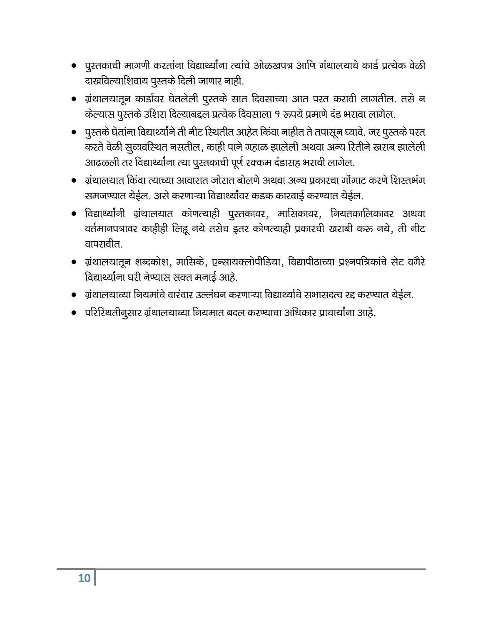- पुस्तकाची मागणी करतांना विद्यार्थ्यांना त्यांचे ओळखपत्र आणि गंथालयाचे कार्ड प्रत्येक वेळी दाखविल्याशिवाय पुस्तके दिली जाणार नाही.
- ग्रंथालयातून कार्डावर घेतलेली पुस्तके सात दिवसाच्या आत परत करावी लागतील. तसे न केल्यास पुस्तके उशिरा दिल्याबद्दल प्रत्येक दिवसाला १ रूपये प्रमाणे दंड भरावा लागेल.
- पुस्तके घेतांना विद्यार्थ्यांने ती नीट रिथतीत आहेत किंवा नाहीत ते तपासून घ्यावे. जर पुस्तके परत करते वेळी सूव्यवरिथत नसतील, काही पाने गहाळ झालेली अथवा अन्य रितीने खराब झालेली आढळली तर विद्यार्थ्यांना त्या पुस्तकाची पूर्ण रक्कम दंडासह भरावी लागेल.
- ग्रंथालयात किंवा त्याच्या आवारात जोरात बोलणे अथवा अन्य प्रकारचा गोंगाट करणे शिस्तभंग समजण्यात येईल. असे करणाऱ्या विद्यार्थ्यांवर कडक कारवाई करण्यात येईल.
- विद्यार्थ्यांनी ग्रंथालयात कोणत्याही पुस्तकावर, मासिकावर, नियतकालिकावर अथवा वर्तमानपत्रावर काहीही लिहू नये तसेच इतर कोणत्याही प्रकारची खराबी करू नये, ती नीट वापरावीत.
- ग्रंथालयातून शब्दकोश, मासिके, एन्सायक्लोपीडिया, विद्यापीठाच्या प्रश्नपत्रिकांचे सेट वगैरे विद्यार्थ्यांना घरी नेण्यास सक्त मनाई आहे.
- ग्रंथालयाच्या नियमांचे वारंवार उल्लंघन करणाऱ्या विद्यार्थ्याचे सभासदत्व रद्द करण्यात येईल.
- परिस्थितीनुसार ग्रंथालयाच्या नियमात बदल करण्याचा अधिकार प्राचार्यांना आहे.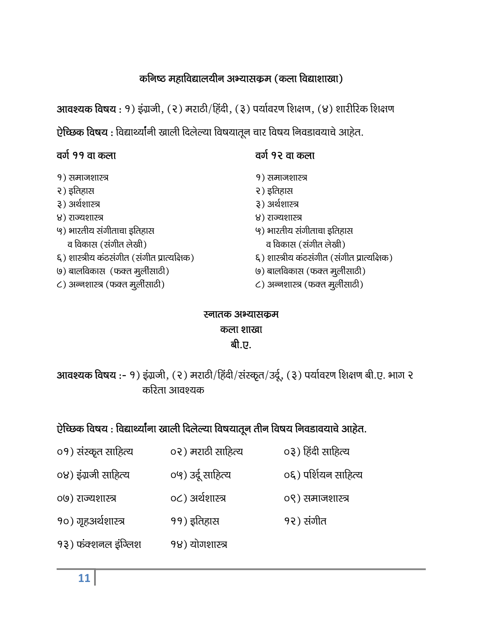# कनिष्ठ महाविद्यालयीन अभ्यासकृम (कला विद्याशाखा)

आवश्यक विषय : १) इंग्रजी, (२) मराठी/हिंदी, (३) पर्यावरण शिक्षण, (४) शारीरिक शिक्षण ऐच्छिक विषय: विद्यार्थ्यांनी खाली दिलेल्या विषयातून चार विषय निवडावयाचे आहेत.

# वर्ग ११ वा कला

- १) समाजशास्त्र
- २) इतिहास
- ३) अर्थशास्त्र
- ४) राज्यशास्त्र
- ५) भारतीय संगीताचा इतिहास व विकास (संगीत लेखी) ६) शास्त्रीय कंठसंगीत (संगीत प्रात्यक्षिक)
- (७) बालविकास (फक्त मुलीसाठी)
- C) अन्नशास्त्र (फक्त मुलीसाठी)
- वर्ग १२ वा कला
- १) समाजशास्त्र
- २) इतिहास
- ३) अर्थशास्त्र
- ४) राज्यशास्त्र
- ५) भारतीय संगीताचा इतिहास
	- व विकास (संगीत लेखी)
- ६) शास्त्रीय कंठसंगीत (संगीत प्रात्यक्षिक)
- (७) बालविकास (फक्त मूर्लीसाठी)
- C) अन्नशास्त्र (फक्त मुलीसाठी)

१२) संगीत

## स्नातक अभ्यासकम कला शाखा बी.ए.

आवश्यक विषय :- १) इंग्रजी, (२) मराठी/हिंदी/संस्कृत/उर्दू, (३) पर्यावरण शिक्षण बी.ए. भाग २ करिता आवश्यक

# ऐच्छिक विषय : विद्यार्थ्यांना खाली दिलेल्या विषयातून तीन विषय निवडावयाचे आहेत.

- ०१) संस्कृत साहित्य ०२) मराठी साहित्य ०३) हिंदी साहित्य
- ०४) इंग्रजी साहित्य ०५) उर्दू साहित्य ०६) पर्शियन साहित्य
- ०८) अर्थशास्त्र ०९) समाजशास्त्र ०७) राज्यशास्त्र
- १०) गृहअर्थशास्त्र ११) इतिहास
- १३) फंक्शनल इंग्लिश १४) योगशास्त्र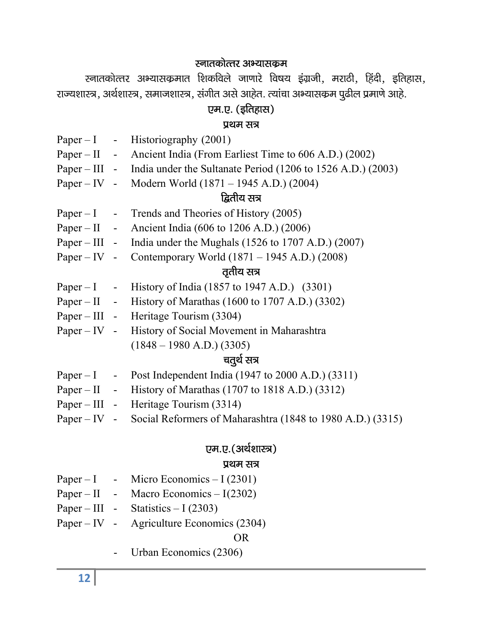# स्नातकोत्तर अभ्यासक्रम

रनातकोत्तर अभ्यासकृमात शिकविले जाणारे विषय इंग्रजी, मराठी, हिंदी, इतिहास, राज्यशास्त्र, अर्थशास्त्र, समाजशास्त्र, संगीत असे आहेत. त्यांचा अभ्यासकम पुढील प्रमाणे आहे.

# एम.ए. (इतिहास)

#### प्रथम सत्र

|  | Paper – I - Historiography $(2001)$                                              |
|--|----------------------------------------------------------------------------------|
|  | Paper – II - Ancient India (From Earliest Time to 606 A.D.) (2002)               |
|  | Paper – III - India under the Sultanate Period (1206 to 1526 A.D.) (2003)        |
|  | Paper – IV - Modern World $(1871 - 1945 \text{ A.D.}) (2004)$                    |
|  | द्वितीय सत्र                                                                     |
|  | Paper $-1$ - Trends and Theories of History (2005)                               |
|  | Paper – II - Ancient India (606 to 1206 A.D.) (2006)                             |
|  | Paper – III - India under the Mughals (1526 to 1707 A.D.) (2007)                 |
|  | Paper – IV - Contemporary World $(1871 - 1945 \text{ A.D.}) (2008)$              |
|  | तृतीय सत्र                                                                       |
|  | Paper – I – History of India (1857 to 1947 A.D.) (3301)                          |
|  | Paper – II - History of Marathas $(1600 \text{ to } 1707 \text{ A.D.})$ $(3302)$ |
|  | Paper – III - Heritage Tourism (3304)                                            |
|  | Paper – IV - History of Social Movement in Maharashtra                           |
|  | $(1848 - 1980 A.D.)$ (3305)                                                      |
|  | चतुर्थ सत्र                                                                      |
|  | Paper $-1$ - Post Independent India (1947 to 2000 A.D.) (3311)                   |
|  | Paper – II - History of Marathas (1707 to 1818 A.D.) (3312)                      |
|  | Paper – III - Heritage Tourism (3314)                                            |
|  | Paper – IV - Social Reformers of Maharashtra (1848 to 1980 A.D.) (3315)          |
|  | एम.ए.(अर्थशास्त्र)                                                               |

# प्रथम सत्र

| $Paper - I$ | Micro Economics $-1(2301)$ |
|-------------|----------------------------|
|-------------|----------------------------|

- Paper II Macro Economics  $I(2302)$
- Paper III Statistics I (2303)
- Paper IV Agriculture Economics (2304)

OR

- Urban Economics (2306)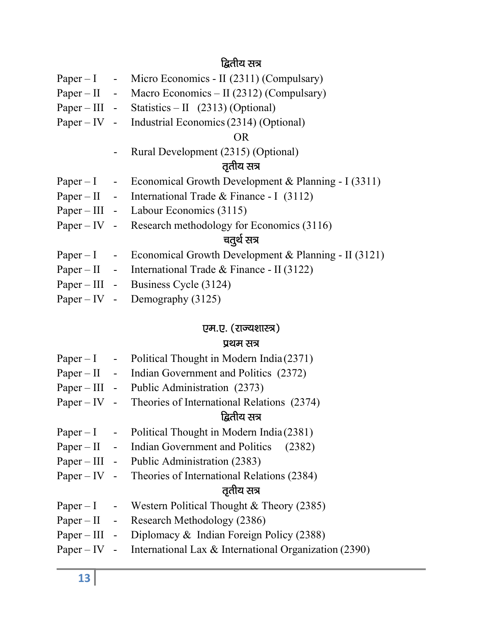# द्वितीय सत्र

|  | Paper – I - Micro Economics - II (2311) (Compulsary)                                              |
|--|---------------------------------------------------------------------------------------------------|
|  | Paper – II - Macro Economics – II (2312) (Compulsary)                                             |
|  | Paper – III - Statistics – II $(2313)$ (Optional)                                                 |
|  | Paper – IV - Industrial Economics (2314) (Optional)                                               |
|  | <b>OR</b>                                                                                         |
|  | Rural Development (2315) (Optional)                                                               |
|  | तृतीय सत्र                                                                                        |
|  | Paper – I – Economical Growth Development & Planning - I (3311)                                   |
|  | Paper – II - International Trade & Finance - I (3112)                                             |
|  | Paper – III - Labour Economics (3115)                                                             |
|  | Paper – IV - Research methodology for Economics $(3116)$                                          |
|  | चतुर्थ सत्र                                                                                       |
|  | Paper – I – Economical Growth Development & Planning - II (3121)                                  |
|  | Paper – II - International Trade & Finance - II (3122)                                            |
|  | Paper – III - Business Cycle (3124)                                                               |
|  | $\mathbf{D}_{\text{max}}$ $\mathbf{W}$ $\mathbf{D}_{\text{max}}$ $\mathbf{L}_{\text{max}}$ (2125) |

Paper – IV - Demography  $(3125)$ 

# एम.ए. (राज्यशास्त्र)

#### प्रथम सत्र

|  | Paper $-1$ - Political Thought in Modern India (2371)              |
|--|--------------------------------------------------------------------|
|  | Paper – II - Indian Government and Politics (2372)                 |
|  | Paper – III - Public Administration (2373)                         |
|  | Paper – IV - Theories of International Relations $(2374)$          |
|  | द्वितीय सत्र                                                       |
|  | Paper $-1$ - Political Thought in Modern India (2381)              |
|  | Paper – II - Indian Government and Politics (2382)                 |
|  | Paper – III - Public Administration $(2383)$                       |
|  | Paper – IV - Theories of International Relations $(2384)$          |
|  | तृतीय सत्र                                                         |
|  | Paper – I - Western Political Thought & Theory (2385)              |
|  | Paper – II - Research Methodology (2386)                           |
|  | Paper – III - Diplomacy & Indian Foreign Policy (2388)             |
|  | Paper – IV - International Lax & International Organization (2390) |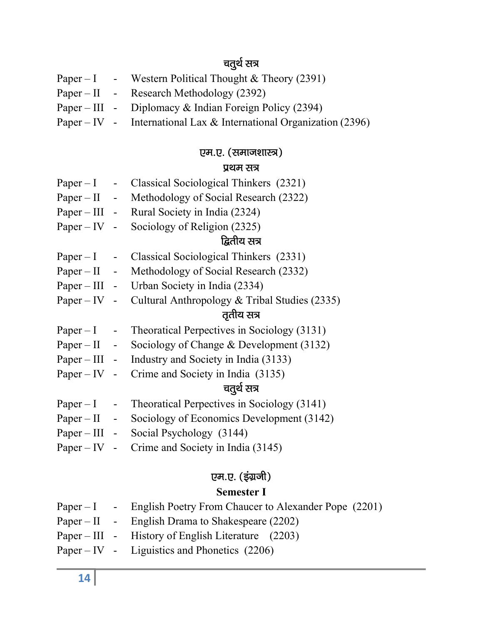# चतुर्थ सत्र $\,$

|  | Paper – I - Western Political Thought & Theory (2391)              |
|--|--------------------------------------------------------------------|
|  | Paper – II - Research Methodology (2392)                           |
|  | Paper – III - Diplomacy & Indian Foreign Policy (2394)             |
|  | Paper – IV - International Lax & International Organization (2396) |

# एम.ए. (समाजशास्त्र)

# प्रथम सत्र

| $Paper - I -$  |                                                            | Classical Sociological Thinkers (2321)                |  |
|----------------|------------------------------------------------------------|-------------------------------------------------------|--|
|                |                                                            | Paper – II - Methodology of Social Research (2322)    |  |
|                |                                                            | Paper – III - Rural Society in India (2324)           |  |
|                |                                                            | Paper – IV - Sociology of Religion $(2325)$           |  |
|                |                                                            | द्वितीय सत्र                                          |  |
| $Paper - I$ -  |                                                            | Classical Sociological Thinkers (2331)                |  |
|                |                                                            | Paper – II - Methodology of Social Research (2332)    |  |
|                |                                                            | Paper – III - Urban Society in India (2334)           |  |
|                | Paper – IV - Cultural Anthropology & Tribal Studies (2335) |                                                       |  |
|                |                                                            | तृतीय सत्र                                            |  |
| $Paper - I -$  |                                                            | Theoratical Perpectives in Sociology (3131)           |  |
|                |                                                            | Paper – II - Sociology of Change & Development (3132) |  |
|                |                                                            | Paper – III - Industry and Society in India (3133)    |  |
|                |                                                            | Paper – IV - Crime and Society in India $(3135)$      |  |
|                |                                                            | चतुर्थ सत्र                                           |  |
| $Paper - I$    | $\sim 100$                                                 | Theoratical Perpectives in Sociology (3141)           |  |
| $Paper - II -$ |                                                            | Sociology of Economics Development (3142)             |  |
|                |                                                            | Paper – III - Social Psychology (3144)                |  |
|                |                                                            | Paper – IV - Crime and Society in India $(3145)$      |  |

# एम.ए. (इंग्रजी)

# Semester I

|  | Paper $-1$ - English Poetry From Chaucer to Alexander Pope (2201) |
|--|-------------------------------------------------------------------|
|  | Paper – II - English Drama to Shakespeare $(2202)$                |
|  | Paper – III - History of English Literature $(2203)$              |
|  | Paper – IV - Liguistics and Phonetics $(2206)$                    |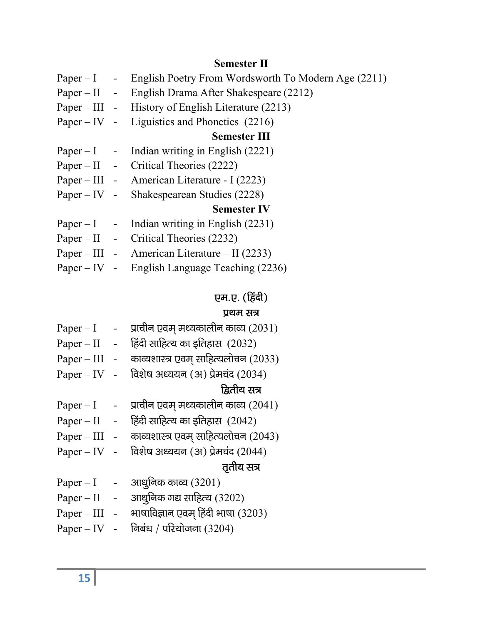### Semester II

| Paper – I - English Poetry From Wordsworth To Modern Age (2211) |
|-----------------------------------------------------------------|
| Paper – II - English Drama After Shakespeare (2212)             |
| Paper – III - History of English Literature (2213)              |
| Paper – IV - Liguistics and Phonetics $(2216)$                  |
| <b>Semester III</b>                                             |
| Paper $-1$ - Indian writing in English (2221)                   |
| Paper – II - Critical Theories $(2222)$                         |
| Paper – III - American Literature - I (2223)                    |
| Paper – IV - Shakespearean Studies (2228)                       |
| <b>Semester IV</b>                                              |
| Paper $-1$ - Indian writing in English (2231)                   |
| Paper – II - Critical Theories $(2232)$                         |
| Paper – III - American Literature – II (2233)                   |
| Paper – IV - English Language Teaching $(2236)$                 |
|                                                                 |

# एम.ए. (हिंदी)

# प्रथम $ext{H}$

|                | प्राचीन एवम् मध्यकालीन काव्य (2031)  |
|----------------|--------------------------------------|
|                | हिंदी साहित्य का इतिहास (2032)       |
|                | काव्यशास्त्र एवम् साहित्यलोचन (2033) |
|                | विशेष अध्ययन (अ) प्रेमचंद (2034)     |
|                | द्वितीय सत्र                         |
|                | प्राचीन एवम् मध्यकालीन काव्य (2041)  |
|                | हिंदी साहित्य का इतिहास (2042)       |
| $\overline{a}$ | काव्यशास्त्र एवम् साहित्यलोचन (2043) |
| $\mathbf{r}$   | विशेष अध्ययन (अ) प्रेमचंद (2044)     |
|                | तृतीय सत्र                           |
|                | आधुनिक काव्य $(3201)$                |
|                | आधुनिक गद्य साहित्य (3202)           |
| $\frac{1}{2}$  | भाषाविज्ञान एवम् हिंदी भाषा (3203)   |
|                | निबंध / परियोजना (3204)              |
|                |                                      |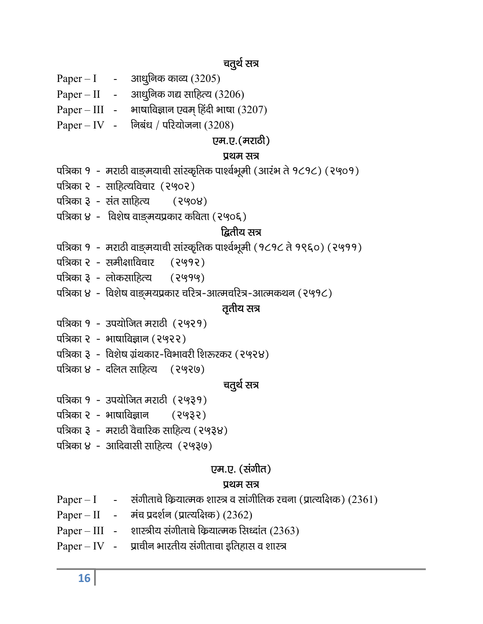#### चतुर्थ सत्र

- Paper I आधुनिक काव्य  $(3205)$
- Paper II आधुनिक गद्य साहित्य  $(3206)$
- Paper III भाषाविज्ञान एवम् हिंदी भाषा  $(3207)$
- $Paper IV -$  निबंध / परियोजना (3208)

#### एम.ए.(मराठी)

#### प्रथम सत्र

- पत्रिका १ मराठी वाङमयाची सांस्कृतिक पार्श्वभूमी (आरंभ ते १८१८) (२५०१)
- पत्रिका २ साहित्यविचार (२५०२)
- पत्रिका ३ संत साहित्य (२५०४)
- पत्रिका ४ विशेष वाङ्मयप्रकार कविता (२५०६)

#### <u>ਫ਼ਿ</u>ਰੀਧ ਲਕ

- पत्रिका १ मराठी वाङ्मयाची सांस्कृतिक पार्श्वभूमी (१८१८ ते १९६०) (२५११)
- पत्रिका २ समीक्षाविचार (२५१२)
- पत्रिका ३ लोकसाहित्य (२५१५)
- पत्रिका ४ विशेष वाङ्मयप्रकार चरित्र-आत्मचरित्र-आत्मकथन (२५१८)

#### तृतीय सत्र

- पत्रिका १ उपयोजित मराठी (२५२१)
- पत्रिका २ भाषाविज्ञान (२५२२)
- पत्रिका ३ विशेष ग्रंथकार-विभावरी शिरूरकर (२५२४)
- पत्रिका ४ दलित साहित्य  $(2920)$

#### चतुर्थ सत्र

- पत्रिका १ उपयोजित मराठी (२५३१)
- पत्रिका २ भाषाविज्ञान (२५३२)
- पत्रिका ३ मराठी वैचारिक साहित्य (२५३४)
- पत्रिका ४ आदिवासी साहित्य $(2939)$

#### एम.ए. (संगीत)

#### प्रथम सत्र

- Paper I संगीताचे कियात्मक शास्त्र व सांगीतिक रचना (प्रात्यक्षिक) (2361)
- Paper II मंच प्रदर्शन (प्रात्यक्षिक) (2362)
- Paper III शास्त्रीय संगीताचे कियात्मक सिध्दांत (2363)
- $Paper IV$  प्राचीन भारतीय संगीताचा इतिहास व शास्त्र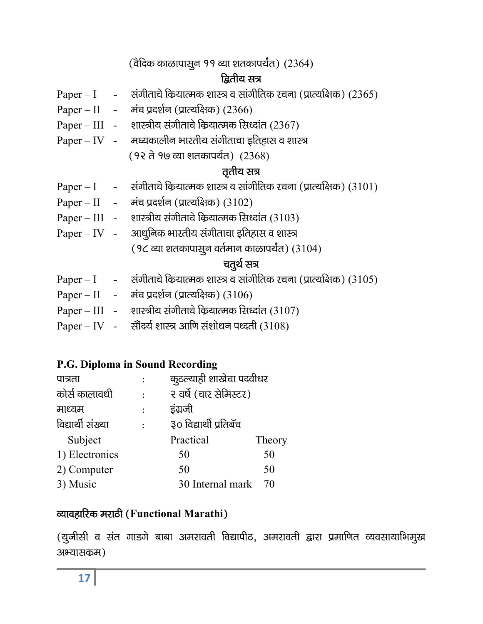$($ वेदिक काळापासून ११ व्या शतकापर्यंत)  $(2364)$ 

# દ્વિતીય સત્ર

- Paper I संगीताचे कियात्मक शास्त्र व सांगीतिक रचना (प्रात्यक्षिक) (2365)
- $Paper II  $\vec{\theta}$ मंच प्रदर्शन (प्रात्यक्षिक) (2366)$
- Paper III शास्त्रीय संगीताचे कियात्मक सिध्दांत (2367)
- $Paper IV % H \rightarrow$   $C$  +  $C$  +  $C$  +  $C$  +  $D$  +  $D$  +  $D$  +  $D$  +  $D$  +  $D$  +  $D$  +  $D$  +  $D$  +  $D$  +  $D$  +  $D$  +  $D$  +  $D$  +  $D$  +  $D$  +  $D$  +  $D$  +  $D$  +  $D$  +  $D$  +  $D$  +  $D$  +  $D$  +  $D$  +  $D$  +  $D$  +  $D$  +  $D$  +  $D$ 
	- (१२ ते १७ व्या शतकापर्यंत) (2368)

## $\sigma$ तीय सत्र

- $Paper I$  संगीताचे कियात्मक शास्त्र व सांगीतिक रचना (प्रात्यक्षिक) (3101)
- $Paper II \vec{a} \vec{a} \vec{a} \vec{b} \vec{c}$  (प्रात्यक्षिक) (3102)
- Paper III शास्त्रीय संगीताचे कियात्मक सिध्दांत (3103)
- Paper IV अाधुनिक भारतीय संगीताचा इतिहास व शास्त्र  $(9$ ८ व्या शतकापासुन वर्तमान काळापर्यंत)  $(3104)$

# चतुर्थ सत्र

- $Paper I xibll \bar{x}$  and  $% P$  =  $I R$  and  $I R$  and  $I R$  and  $I R$  and  $I R$
- Paper II मंच प्रदर्शन (प्रात्यक्षिक)  $(3106)$
- Paper III शास्त्रीय संगीताचे कियात्मक सिध्दांत (3107)
- Paper IV सौंदर्य शास्त्र आणि संशोधन पध्दती (3108)

#### P.G. Diploma in Sound Recording

| पात्रता           | कुठल्याही शाखेचा पदवीधर |        |
|-------------------|-------------------------|--------|
| कोर्स कालावधी     | २ वर्षे (चार सेमिस्टर)  |        |
| माध्यम            | इंग्रजी                 |        |
| विद्यार्थी संख्या | ३० विद्यार्थी प्रतिबॅच  |        |
| Subject           | Practical               | Theory |
| 1) Electronics    | 50                      | 50     |
| 2) Computer       | 50                      | 50     |
| 3) Music          | 30 Internal mark        | 70     |

### व्यावहारिक मराठी (Functional Marathi)

(यूजीसी व संत गाडगे बाबा अमरावती विद्यापीठ, अमरावती द्वारा प्रमाणित व्यवसायाभिमूख अभ्यासकृम)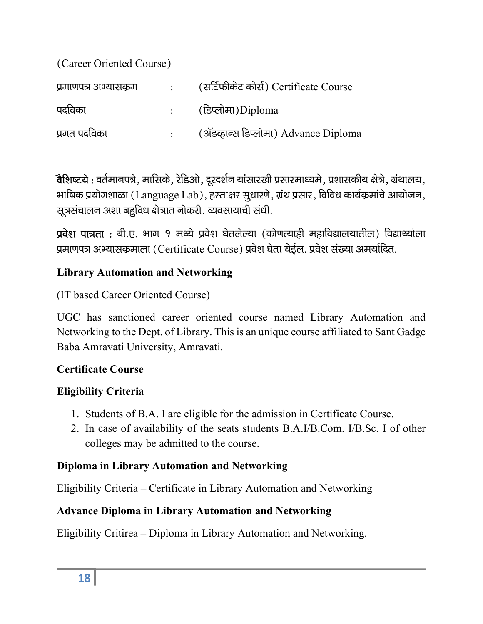| (Career Oriented Course) |                 |                                       |  |  |
|--------------------------|-----------------|---------------------------------------|--|--|
| प्रमाणपत्र अभ्यासकम      | $\sim 10^{-10}$ | (सर्टिफीकेट कोर्स) Certificate Course |  |  |
| पदविका                   |                 | (डिप्लोमा)Diploma                     |  |  |
| प्रगत पदविका             |                 | (ॲडव्हान्स डिप्लोमा) Advance Diploma  |  |  |

वैशिष्टये : वर्तमानपत्रे, मासिके, रेडिओ, दूरदर्शन यांसारखी प्रसारमाध्यमे, प्रशासकीय क्षेत्रे, ग्रंथालय, भाषिक प्रयोगशाळा (Language Lab), हस्ताक्षर सूधारणे, ग्रंथ प्रसार, विविध कार्यक्रमांचे आयोजन, सूत्रसंचालन अशा बहूविध क्षेत्रात नोकरी, व्यवसायाची संधी.

 $\vec{x}$ वेश पात्रता : बी.ए. भाग १ मध्ये प्रवेश घेतलेल्या (कोणत्याही महाविद्यालयातील) विद्यार्थ्याला प्रमाणपत्र अभ्यासकमाला (Certificate Course) प्रवेश घेता येईल. प्रवेश संख्या अमर्यादित.

#### Library Automation and Networking

(IT based Career Oriented Course)

UGC has sanctioned career oriented course named Library Automation and Networking to the Dept. of Library. This is an unique course affiliated to Sant Gadge Baba Amravati University, Amravati.

### Certificate Course

#### Eligibility Criteria

- 1. Students of B.A. I are eligible for the admission in Certificate Course.
- 2. In case of availability of the seats students B.A.I/B.Com. I/B.Sc. I of other colleges may be admitted to the course.

#### Diploma in Library Automation and Networking

Eligibility Criteria – Certificate in Library Automation and Networking

#### Advance Diploma in Library Automation and Networking

Eligibility Critirea – Diploma in Library Automation and Networking.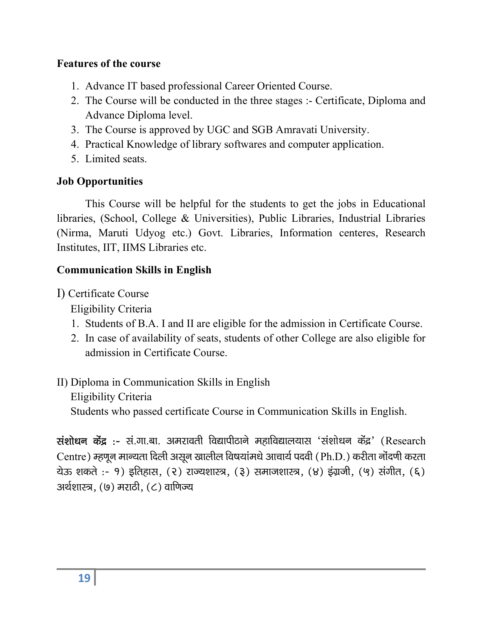#### Features of the course

- 1. Advance IT based professional Career Oriented Course.
- 2. The Course will be conducted in the three stages :- Certificate, Diploma and Advance Diploma level.
- 3. The Course is approved by UGC and SGB Amravati University.
- 4. Practical Knowledge of library softwares and computer application.
- 5. Limited seats.

#### Job Opportunities

This Course will be helpful for the students to get the jobs in Educational libraries, (School, College & Universities), Public Libraries, Industrial Libraries (Nirma, Maruti Udyog etc.) Govt. Libraries, Information centeres, Research Institutes, IIT, IIMS Libraries etc.

#### Communication Skills in English

I) Certificate Course

Eligibility Criteria

- 1. Students of B.A. I and II are eligible for the admission in Certificate Course.
- 2. In case of availability of seats, students of other College are also eligible for admission in Certificate Course.

### II) Diploma in Communication Skills in English

Eligibility Criteria

Students who passed certificate Course in Communication Skills in English.

संशोधन केंद्र :- सं.गा.बा. अमरावती विद्यापीठाने महाविद्यालयास 'संशोधन केंद्र' (Research Centre) म्हणून मान्यता दिली असून खालील विषयांमधे आचार्य पदवी (Ph.D.) करीता नोंदणी करता रोऊ शकते :- १) इतिहास, (२) राज्यशास्त्र, (३) समाजशास्त्र, (४) इंग्रजी, (५) संगीत, (६) अर्थशास्त्र,  $(9)$  मराठी,  $(6)$  वाणिज्य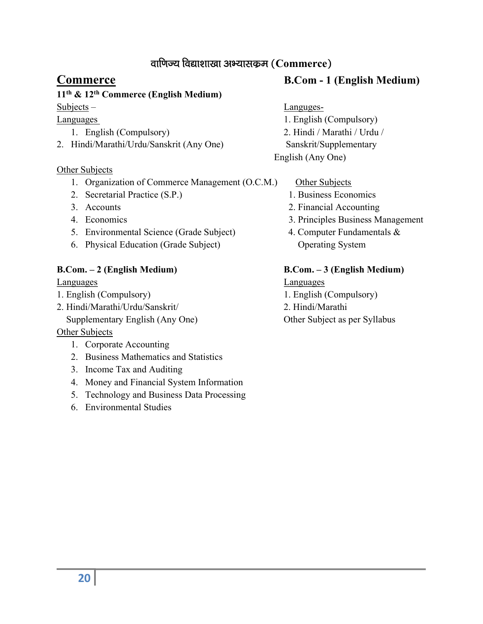#### वाणिज्य विद्याशाखा अभ्यासकृम $($

#### 11th & 12th Commerce (English Medium)

- 
- 2. Hindi/Marathi/Urdu/Sanskrit (Any One) Sanskrit/Supplementary

#### Other Subjects

- 1. Organization of Commerce Management (O.C.M.) Other Subjects
- 2. Secretarial Practice (S.P.) 1. Business Economics
- 
- 
- 5. Environmental Science (Grade Subject) 4. Computer Fundamentals &
- 6. Physical Education (Grade Subject) Operating System

#### B.Com. – 2 (English Medium) B.Com. – 3 (English Medium)

- 
- 2. Hindi/Marathi/Urdu/Sanskrit/ 2. Hindi/Marathi Supplementary English (Any One) Other Subject as per Syllabus

#### Other Subjects

- 1. Corporate Accounting
- 2. Business Mathematics and Statistics
- 3. Income Tax and Auditing
- 4. Money and Financial System Information
- 5. Technology and Business Data Processing
- 6. Environmental Studies

#### Commerce B.Com - 1 (English Medium)

#### Subjects – Languges-

- Languages 1. English (Compulsory) 1. English (Compulsory) 2. Hindi / Marathi / Urdu / English (Any One)
	-
	-
	- 3. Accounts 2. Financial Accounting
	- 4. Economics 3. Principles Business Management
		-

Languages Languages 1. English (Compulsory) 1. English (Compulsory)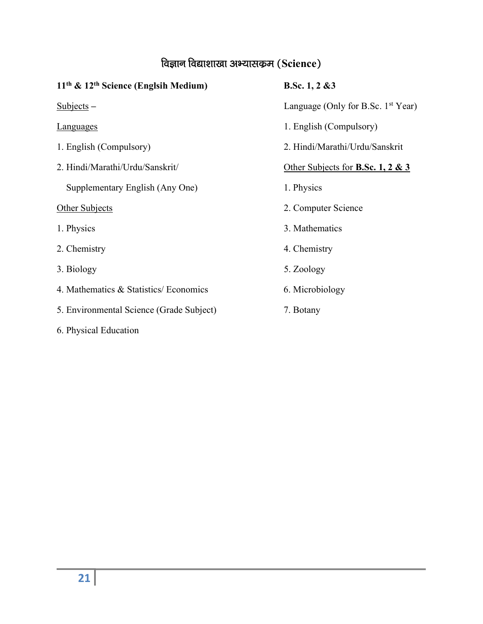# विज्ञान विद्याशाखा अभ्यासकम $(Science)$

| $11th$ & $12th$ Science (Englsih Medium) | B.Sc. $1, 2 \& 3$                            |
|------------------------------------------|----------------------------------------------|
| Subjects –                               | Language (Only for B.Sc. $1st Year$ )        |
| <b>Languages</b>                         | 1. English (Compulsory)                      |
| 1. English (Compulsory)                  | 2. Hindi/Marathi/Urdu/Sanskrit               |
| 2. Hindi/Marathi/Urdu/Sanskrit/          | Other Subjects for <b>B.Sc. 1, 2 &amp; 3</b> |
| Supplementary English (Any One)          | 1. Physics                                   |
| Other Subjects                           | 2. Computer Science                          |
| 1. Physics                               | 3. Mathematics                               |
| 2. Chemistry                             | 4. Chemistry                                 |
| 3. Biology                               | 5. Zoology                                   |
| 4. Mathematics & Statistics/ Economics   | 6. Microbiology                              |
| 5. Environmental Science (Grade Subject) | 7. Botany                                    |
| 6. Physical Education                    |                                              |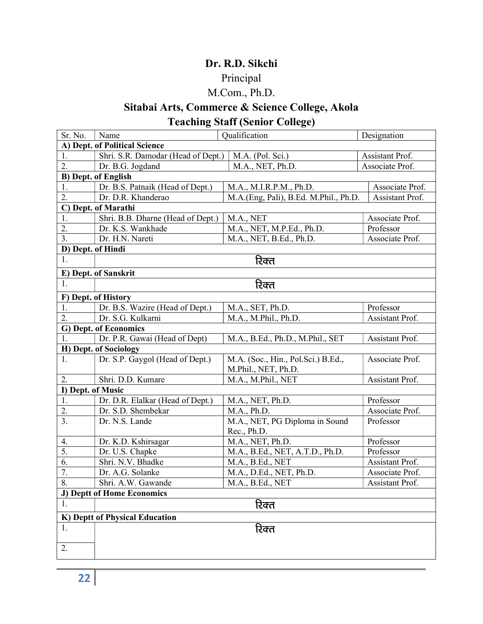#### Dr. R.D. Sikchi

## Principal

## M.Com., Ph.D.

## Sitabai Arts, Commerce & Science College, Akola Teaching Staff (Senior College)

| Sr. No.                               | Name<br>Qualification                                                          |                                     | Designation     |  |  |  |  |
|---------------------------------------|--------------------------------------------------------------------------------|-------------------------------------|-----------------|--|--|--|--|
| A) Dept. of Political Science         |                                                                                |                                     |                 |  |  |  |  |
| 1.                                    | Shri. S.R. Damodar (Head of Dept.)<br>M.A. (Pol. Sci.)<br>Assistant Prof.      |                                     |                 |  |  |  |  |
| 2.                                    | Dr. B.G. Jogdand                                                               | M.A., NET, Ph.D.<br>Associate Prof. |                 |  |  |  |  |
| <b>B)</b> Dept. of English            |                                                                                |                                     |                 |  |  |  |  |
| 1.                                    | Dr. B.S. Patnaik (Head of Dept.)                                               | M.A., M.I.R.P.M., Ph.D.             | Associate Prof. |  |  |  |  |
| 2.                                    | Dr. D.R. Khanderao<br>M.A.(Eng, Pali), B.Ed. M.Phil., Ph.D.<br>Assistant Prof. |                                     |                 |  |  |  |  |
|                                       | C) Dept. of Marathi                                                            |                                     |                 |  |  |  |  |
| 1.                                    | Shri. B.B. Dharne (Head of Dept.)<br>M.A., NET<br>Associate Prof.              |                                     |                 |  |  |  |  |
| 2.                                    | Dr. K.S. Wankhade                                                              | M.A., NET, M.P.Ed., Ph.D.           | Professor       |  |  |  |  |
| 3.                                    | Dr. H.N. Nareti                                                                | M.A., NET, B.Ed., Ph.D.             | Associate Prof. |  |  |  |  |
| D) Dept. of Hindi                     |                                                                                |                                     |                 |  |  |  |  |
| 1.                                    |                                                                                | रिक्त                               |                 |  |  |  |  |
|                                       | E) Dept. of Sanskrit                                                           |                                     |                 |  |  |  |  |
| 1.                                    |                                                                                | रिक्त                               |                 |  |  |  |  |
|                                       | F) Dept. of History                                                            |                                     |                 |  |  |  |  |
| 1.                                    | Dr. B.S. Wazire (Head of Dept.)                                                | M.A., SET, Ph.D.                    | Professor       |  |  |  |  |
| 2.                                    | Dr. S.G. Kulkarni<br>M.A., M.Phil., Ph.D.<br>Assistant Prof.                   |                                     |                 |  |  |  |  |
|                                       | G) Dept. of Economics                                                          |                                     |                 |  |  |  |  |
| 1.                                    | Dr. P.R. Gawai (Head of Dept)                                                  | M.A., B.Ed., Ph.D., M.Phil., SET    | Assistant Prof. |  |  |  |  |
|                                       | H) Dept. of Sociology                                                          |                                     |                 |  |  |  |  |
| 1.                                    | Dr. S.P. Gaygol (Head of Dept.)                                                | M.A. (Soc., Hin., Pol.Sci.) B.Ed.,  | Associate Prof. |  |  |  |  |
|                                       |                                                                                | M.Phil., NET, Ph.D.                 |                 |  |  |  |  |
| 2.                                    | Shri. D.D. Kumare                                                              | M.A., M.Phil., NET                  | Assistant Prof. |  |  |  |  |
| I) Dept. of Music                     |                                                                                |                                     |                 |  |  |  |  |
| 1.                                    | Dr. D.R. Elalkar (Head of Dept.)                                               | M.A., NET, Ph.D.                    | Professor       |  |  |  |  |
| 2.                                    | Dr. S.D. Shembekar                                                             | M.A., Ph.D.                         | Associate Prof. |  |  |  |  |
| 3.                                    | Dr. N.S. Lande                                                                 | M.A., NET, PG Diploma in Sound      | Professor       |  |  |  |  |
|                                       |                                                                                | Rec., Ph.D.                         |                 |  |  |  |  |
| 4.                                    | Dr. K.D. Kshirsagar                                                            | M.A., NET, Ph.D.                    | Professor       |  |  |  |  |
| 5.                                    | Dr. U.S. Chapke                                                                | M.A., B.Ed., NET, A.T.D., Ph.D.     | Professor       |  |  |  |  |
| 6.                                    | Shri. N.V. Bhadke                                                              | M.A., B.Ed., NET                    | Assistant Prof. |  |  |  |  |
| 7.                                    | Dr. A.G. Solanke                                                               | M.A., D.Ed., NET, Ph.D.             | Associate Prof. |  |  |  |  |
| 8.                                    | Shri. A.W. Gawande                                                             | M.A., B.Ed., NET                    | Assistant Prof. |  |  |  |  |
|                                       | J) Deptt of Home Economics                                                     |                                     |                 |  |  |  |  |
| रिक्त<br>1.                           |                                                                                |                                     |                 |  |  |  |  |
| <b>K)</b> Deptt of Physical Education |                                                                                |                                     |                 |  |  |  |  |
| 1.                                    |                                                                                | रिक्त                               |                 |  |  |  |  |
|                                       |                                                                                |                                     |                 |  |  |  |  |
| 2.                                    |                                                                                |                                     |                 |  |  |  |  |
|                                       |                                                                                |                                     |                 |  |  |  |  |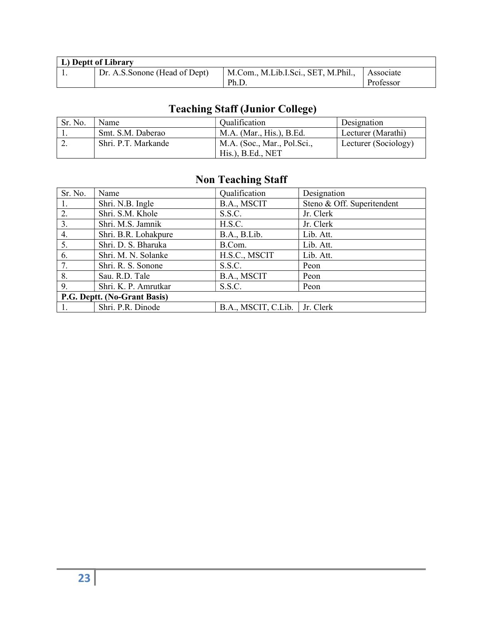| L) Deptt of Library |                               |                                     |           |  |  |
|---------------------|-------------------------------|-------------------------------------|-----------|--|--|
|                     | Dr. A.S.Sonone (Head of Dept) | M.Com., M.Lib.I.Sci., SET, M.Phil., | Associate |  |  |
|                     |                               | Ph.D.                               | Professor |  |  |

# Teaching Staff (Junior College)

| Sr. No.  | Name                | Oualification                                    | <sup>1</sup> Designation |
|----------|---------------------|--------------------------------------------------|--------------------------|
|          | Smt. S.M. Daberao   | M.A. (Mar., His.), B.Ed.                         | Lecturer (Marathi)       |
| <u>.</u> | Shri. P.T. Markande | M.A. (Soc., Mar., Pol.Sci.,<br>His.), B.Ed., NET | Lecturer (Sociology)     |

# Non Teaching Staff

| Sr. No.                      | Name                 | Qualification       | Designation                |  |
|------------------------------|----------------------|---------------------|----------------------------|--|
| $\mathbf{1}$ .               | Shri. N.B. Ingle     | B.A., MSCIT         | Steno & Off. Superitendent |  |
| 2.                           | Shri. S.M. Khole     | S.S.C.              | Jr. Clerk                  |  |
| 3.                           | Shri. M.S. Jamnik    | H.S.C.              | Jr. Clerk                  |  |
| 4.                           | Shri. B.R. Lohakpure | B.A., B.Lib.        | Lib. Att.                  |  |
| 5.                           | Shri. D. S. Bharuka  | B.Com.              | Lib. Att.                  |  |
| 6.                           | Shri. M. N. Solanke  | H.S.C., MSCIT       | Lib. Att.                  |  |
| 7.                           | Shri. R. S. Sonone   | S.S.C.              | Peon                       |  |
| 8.                           | Sau. R.D. Tale       | B.A., MSCIT         | Peon                       |  |
| 9.                           | Shri. K. P. Amrutkar | S.S.C.              | Peon                       |  |
| P.G. Deptt. (No-Grant Basis) |                      |                     |                            |  |
|                              | Shri. P.R. Dinode    | B.A., MSCIT, C.Lib. | Jr. Clerk                  |  |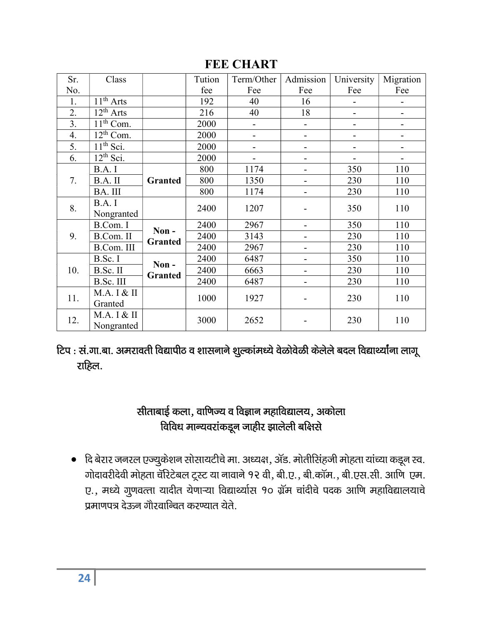| Sr. | Class          |                        | Tution | Term/Other | Admission                    | University | Migration |
|-----|----------------|------------------------|--------|------------|------------------------------|------------|-----------|
| No. |                |                        | fee    | Fee        | Fee                          | Fee        | Fee       |
| 1.  | $11th$ Arts    |                        | 192    | 40         | 16                           |            |           |
| 2.  | $12^{th}$ Arts |                        | 216    | 40         | 18                           |            |           |
| 3.  | $11th$ Com.    |                        | 2000   | -          | $\overline{a}$               | -          |           |
| 4.  | $12^{th}$ Com. |                        | 2000   | -          | $\overline{\phantom{a}}$     | -          |           |
| 5.  | $11th$ Sci.    |                        | 2000   |            | $\overline{\phantom{a}}$     |            |           |
| 6.  | $12^{th}$ Sci. |                        | 2000   |            |                              |            |           |
| 7.  | B.A.I          |                        | 800    | 1174       | -                            | 350        | 110       |
|     | B.A. II        | Granted                | 800    | 1350       | $\overline{\phantom{a}}$     | 230        | 110       |
|     | BA. III        |                        | 800    | 1174       | $\qquad \qquad \blacksquare$ | 230        | 110       |
| 8.  | B.A.I          |                        | 2400   | 1207       |                              | 350        | 110       |
|     | Nongranted     |                        |        |            |                              |            |           |
|     | B.Com. I       | Non-<br><b>Granted</b> | 2400   | 2967       | $\overline{\phantom{0}}$     | 350        | 110       |
| 9.  | B.Com. II      |                        | 2400   | 3143       | $\qquad \qquad \blacksquare$ | 230        | 110       |
|     | B.Com. III     |                        | 2400   | 2967       |                              | 230        | 110       |
| 10. | B.Sc. I        | Non-<br><b>Granted</b> | 2400   | 6487       | -                            | 350        | 110       |
|     | B.Sc. II       |                        | 2400   | 6663       | $\blacksquare$               | 230        | 110       |
|     | B.Sc. III      |                        | 2400   | 6487       | $\overline{\phantom{0}}$     | 230        | 110       |
| 11. | M.A. I & II    |                        | 1000   | 1927       | -                            | 230        | 110       |
|     | Granted        |                        |        |            |                              |            |           |
| 12. | M.A. I & II    |                        | 3000   | 2652       |                              | 230        | 110       |
|     | Nongranted     |                        |        |            |                              |            |           |

### **FEE CHART**

टिप : सं.गा.बा. अमरावती विद्यापीठ व शासनाने शुल्कांमध्ये वेळोवेळी केलेले बदल विद्यार्थ्यांना लागू राहिल.

## सीताबाई कला, वाणिज्य व विज्ञान महाविद्यालय, अकोला विविध मान्यवरांकडून जाहीर झालेली बक्षिसे

• दि बेरार जनरल एज्युकेशन सोसायटीचे मा. अध्यक्ष, ॲड. मोतीसिंहजी मोहता यांच्या कडून स्व. गोदावरीदेवी मोहता चॅरिटेबल ट्रूस्ट या नावाने १२ वी, बी.ए., बी.कॉम., बी.एस.सी. आणि एम. ए., मध्ये गुणवत्ता यादीत येणाऱ्या विद्यार्थ्यास १० ग्रॅम चांदीचे पदक आणि महाविद्यालयाचे प्रमाणपत्र देऊन गौरवान्वित करण्यात येते.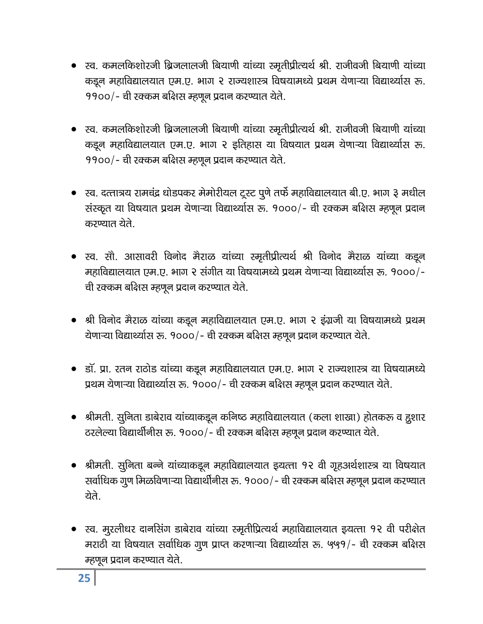- ્रव. कमलकिशोरजी ब्रिजलालजी बियाणी यांच्या स्मृतीप्रीत्यर्थ श्री. राजीवजी बियाणी यांच्या कडून महाविद्यालयात एम.ए. भाग २ राज्यशास्त्र विषयामध्ये प्रथम येणाऱ्या विद्यार्थ्यास रू.  $1900/$ - ची रक्कम बक्षिस म्हणून प्रदान करण्यात येते.
- स्व. कमलकिशोरजी ब्रिजलालजी बियाणी यांच्या स्मृतीप्रीत्यर्थ श्री. राजीवजी बियाणी यांच्या कडून महाविद्यालयात एम.ए. भाग २ इतिहास या विषयात प्रथम येणाऱ्या विद्यार्थ्यास रू.  $1900/$ - ची रक्कम बक्षिस म्हणून प्रदान करण्यात येते.
- स्व. दत्तात्रय रामचंद्र धोडपकर मेमोरीयल ट्र्स्ट पुणे तर्फे महाविद्यालयात बी.ए. भाग ३ मधील संस्कृत या विषयात प्रथम येणाऱ्या विद्यार्थ्यास रू. १०००/- ची रक्कम बक्षिस म्हणून प्रदान करण्यात येते.
- स्व. सौ. आसावरी विनोद मैराळ यांच्या स्मृतीप्रीत्यर्थ श्री विनोद मैराळ यांच्या कडून महाविद्यालयात एम.ए. भाग २ संगीत या विषयामध्ये प्रथम येणाऱ्या विद्यार्थ्यास रू. १०००/-ची रक्कम बक्षिस म्हणून प्रदान करण्यात येते.
- श्री विनोद मैराळ यांच्या कडून महाविद्यालयात एम.ए. भाग २ इंग्रजी या विषयामध्ये प्रथम येणाऱ्या विद्यार्थ्यास रू. १०००/- ची रक्कम बक्षिस म्हणून प्रदान करण्यात येते.
- डॉ. प्रा. रतन राठोड यांच्या कडून महाविद्यालयात एम.ए. भाग २ राज्यशास्त्र या विषयामध्ये प्रथम येणाऱ्या विद्यार्थ्यास रू. १०००/- ची रक्कम बक्षिस म्हणून प्रदान करण्यात येते.
- श्रीमती. सुनिता डाबेराव यांच्याकडून कनिष्ठ महाविद्यालयात (कला शाखा) होतकरू व हुशार ठरलेल्या विद्यार्थीनीस रू. १०००/- ची रक्कम बक्षिस म्हणून प्रदान करण्यात येते.
- श्रीमती. सुनिता बन्ने यांच्याकडून महाविद्यालयात इयत्ता १२ वी गृहअर्थशास्त्र या विषयात सर्वाधिक गूण मिळविणाऱ्या विद्यार्थीनीस रू. १०००/- ची रक्कम बक्षिस म्हणून प्रदान करण्यात चेते.
- स्व. मुरलीधर दानसिंग डाबेराव यांच्या स्मृतीप्रित्यर्थ महाविद्यालयात इयत्ता १२ वी परीक्षेत मराठी या विषयात सर्वाधिक गुण प्राप्त करणाऱ्या विद्यार्थ्यास रू. ५५१/- ची रक्कम बक्षिस म्हणून प्रदान करण्यात येते.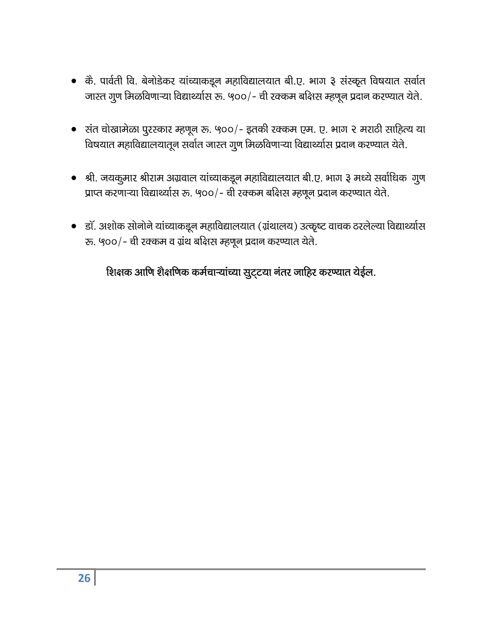- कै. पार्वती वि. बेनोडेकर यांच्याकडून महाविद्यालयात बी.ए. भाग ३ संस्कृत विषयात सर्वात जास्त गूण मिळविणाऱ्या विद्यार्थ्यास रू. ५००/- ची रक्कम बक्षिस म्हणून प्रदान करण्यात येते.
- संत चोखामेळा पुरस्कार म्हणून रू. ५००/- इतकी रक्कम एम. ए. भाग २ मराठी साहित्य या विषयात महाविद्यालयातून सर्वात जास्त गुण मिळविणाऱ्या विद्यार्थ्यास प्रदान करण्यात येते.
- श्री. जयकुमार श्रीराम अग्रवाल यांच्याकडून महाविद्यालयात बी.ए. भाग ३ मध्ये सर्वाधिक गुण प्राप्त करणाऱ्या विद्यार्थ्यास रू. ५००/- ची रक्कम बक्षिस म्हणून प्रदान करण्यात येते.
- डॉ. अशोक सोनोने यांच्याकडून महाविद्यालयात (ग्रंथालय) उत्कृष्ट वाचक ठरलेल्या विद्यार्थ्यास रू. ५००/- ची रक्कम व ग्रंथ बक्षिस म्हणून प्रदान करण्यात येते.

# शिक्षक आणि शैक्षणिक कर्मचाऱ्यांच्या सुट्टया नंतर जाहिर करण्यात येईल.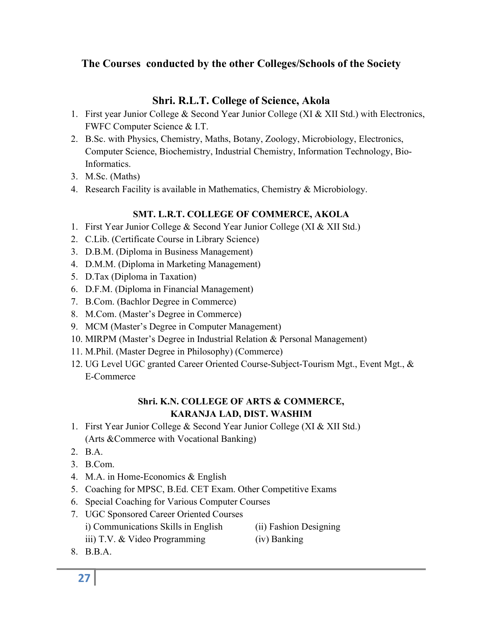#### The Courses conducted by the other Colleges/Schools of the Society

#### Shri. R.L.T. College of Science, Akola

- 1. First year Junior College & Second Year Junior College (XI & XII Std.) with Electronics, FWFC Computer Science & I.T.
- 2. B.Sc. with Physics, Chemistry, Maths, Botany, Zoology, Microbiology, Electronics, Computer Science, Biochemistry, Industrial Chemistry, Information Technology, Bio-Informatics.
- 3. M.Sc. (Maths)
- 4. Research Facility is available in Mathematics, Chemistry & Microbiology.

#### SMT. L.R.T. COLLEGE OF COMMERCE, AKOLA

- 1. First Year Junior College & Second Year Junior College (XI & XII Std.)
- 2. C.Lib. (Certificate Course in Library Science)
- 3. D.B.M. (Diploma in Business Management)
- 4. D.M.M. (Diploma in Marketing Management)
- 5. D.Tax (Diploma in Taxation)
- 6. D.F.M. (Diploma in Financial Management)
- 7. B.Com. (Bachlor Degree in Commerce)
- 8. M.Com. (Master's Degree in Commerce)
- 9. MCM (Master's Degree in Computer Management)
- 10. MIRPM (Master's Degree in Industrial Relation & Personal Management)
- 11. M.Phil. (Master Degree in Philosophy) (Commerce)
- 12. UG Level UGC granted Career Oriented Course-Subject-Tourism Mgt., Event Mgt., & E-Commerce

#### Shri. K.N. COLLEGE OF ARTS & COMMERCE, KARANJA LAD, DIST. WASHIM

- 1. First Year Junior College & Second Year Junior College (XI & XII Std.) (Arts &Commerce with Vocational Banking)
- 2. B.A.
- 3. B.Com.
- 4. M.A. in Home-Economics & English
- 5. Coaching for MPSC, B.Ed. CET Exam. Other Competitive Exams
- 6. Special Coaching for Various Computer Courses
- 7. UGC Sponsored Career Oriented Courses
	- i) Communications Skills in English (ii) Fashion Designing
		-
	- iii) T.V. & Video Programming (iv) Banking
- 

8. B.B.A.